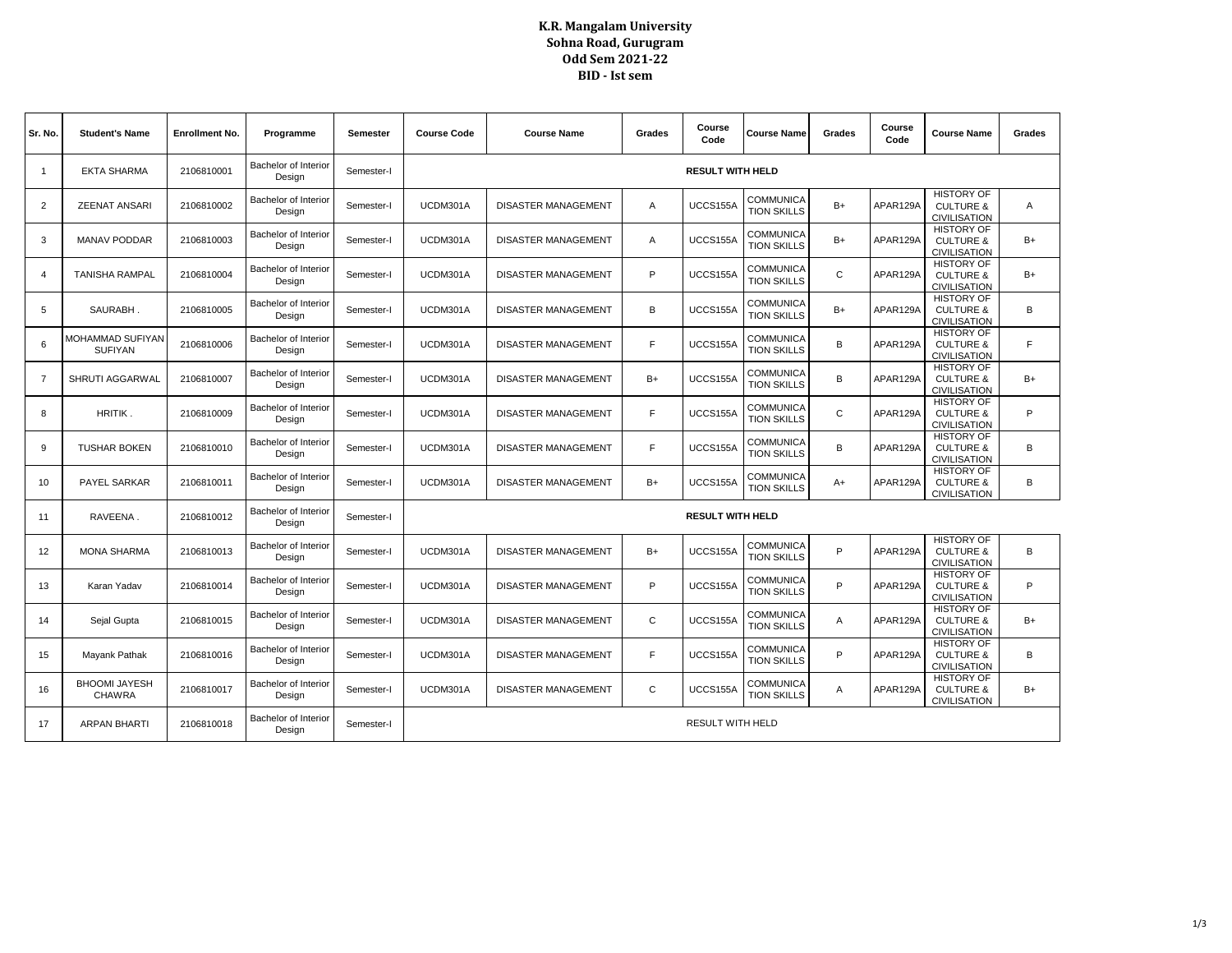## **K.R. Mangalam University Sohna Road, Gurugram Odd Sem 2021-22 BID - Ist sem**

| Sr. No.        | <b>Student's Name</b>                 | <b>Enrollment No.</b> | Programme                      | Semester   | <b>Course Code</b>      | <b>Course Name</b>         | Grades | Course<br>Code          | <b>Course Name</b>              | Grades       | Course<br>Code | <b>Course Name</b>                                               | Grades |
|----------------|---------------------------------------|-----------------------|--------------------------------|------------|-------------------------|----------------------------|--------|-------------------------|---------------------------------|--------------|----------------|------------------------------------------------------------------|--------|
| $\mathbf{1}$   | <b>EKTA SHARMA</b>                    | 2106810001            | Bachelor of Interior<br>Design | Semester-I | <b>RESULT WITH HELD</b> |                            |        |                         |                                 |              |                |                                                                  |        |
| 2              | <b>ZEENAT ANSARI</b>                  | 2106810002            | Bachelor of Interior<br>Design | Semester-I | UCDM301A                | <b>DISASTER MANAGEMENT</b> | A      | UCCS155A                | COMMUNICA<br><b>TION SKILLS</b> | $B+$         | APAR129A       | <b>HISTORY OF</b><br><b>CULTURE &amp;</b><br><b>CIVILISATION</b> | Α      |
| 3              | <b>MANAV PODDAR</b>                   | 2106810003            | Bachelor of Interior<br>Design | Semester-I | UCDM301A                | DISASTER MANAGEMENT        | Α      | UCCS155A                | COMMUNICA<br><b>TION SKILLS</b> | $B+$         | APAR129A       | <b>HISTORY OF</b><br><b>CULTURE &amp;</b><br><b>CIVILISATION</b> | $B+$   |
| 4              | <b>TANISHA RAMPAL</b>                 | 2106810004            | Bachelor of Interior<br>Design | Semester-I | UCDM301A                | <b>DISASTER MANAGEMENT</b> | P      | UCCS155A                | COMMUNICA<br><b>TION SKILLS</b> | $\mathsf{C}$ | APAR129A       | <b>HISTORY OF</b><br><b>CULTURE &amp;</b><br><b>CIVILISATION</b> | $B+$   |
| 5              | SAURABH.                              | 2106810005            | Bachelor of Interior<br>Design | Semester-I | UCDM301A                | DISASTER MANAGEMENT        | B      | UCCS155A                | COMMUNICA<br><b>TION SKILLS</b> | $B+$         | APAR129A       | <b>HISTORY OF</b><br><b>CULTURE &amp;</b><br><b>CIVILISATION</b> | B      |
| 6              | MOHAMMAD SUFIYAN<br><b>SUFIYAN</b>    | 2106810006            | Bachelor of Interior<br>Design | Semester-I | UCDM301A                | <b>DISASTER MANAGEMENT</b> | F      | UCCS155A                | COMMUNICA<br><b>TION SKILLS</b> | B            | APAR129A       | <b>HISTORY OF</b><br><b>CULTURE &amp;</b><br><b>CIVILISATION</b> | F      |
| $\overline{7}$ | SHRUTI AGGARWAL                       | 2106810007            | Bachelor of Interior<br>Design | Semester-I | UCDM301A                | <b>DISASTER MANAGEMENT</b> | $B+$   | UCCS155A                | COMMUNICA<br><b>TION SKILLS</b> | B            | APAR129A       | <b>HISTORY OF</b><br><b>CULTURE &amp;</b><br><b>CIVILISATION</b> | $B+$   |
| 8              | HRITIK.                               | 2106810009            | Bachelor of Interior<br>Design | Semester-I | UCDM301A                | <b>DISASTER MANAGEMENT</b> | F      | UCCS155A                | COMMUNICA<br><b>TION SKILLS</b> | $\mathsf{C}$ | APAR129A       | <b>HISTORY OF</b><br><b>CULTURE &amp;</b><br><b>CIVILISATION</b> | P      |
| 9              | <b>TUSHAR BOKEN</b>                   | 2106810010            | Bachelor of Interior<br>Design | Semester-I | UCDM301A                | <b>DISASTER MANAGEMENT</b> | F      | UCCS155A                | COMMUNICA<br><b>TION SKILLS</b> | B            | APAR129A       | <b>HISTORY OF</b><br><b>CULTURE &amp;</b><br><b>CIVILISATION</b> | B      |
| 10             | PAYEL SARKAR                          | 2106810011            | Bachelor of Interior<br>Design | Semester-I | UCDM301A                | <b>DISASTER MANAGEMENT</b> | $B+$   | UCCS155A                | COMMUNICA<br><b>TION SKILLS</b> | $A+$         | APAR129A       | <b>HISTORY OF</b><br><b>CULTURE &amp;</b><br><b>CIVILISATION</b> | B      |
| 11             | RAVEENA.                              | 2106810012            | Bachelor of Interior<br>Desian | Semester-I | <b>RESULT WITH HELD</b> |                            |        |                         |                                 |              |                |                                                                  |        |
| 12             | <b>MONA SHARMA</b>                    | 2106810013            | Bachelor of Interior<br>Design | Semester-I | UCDM301A                | DISASTER MANAGEMENT        | $B+$   | UCCS155A                | COMMUNICA<br><b>TION SKILLS</b> | P            | APAR129A       | <b>HISTORY OF</b><br><b>CULTURE &amp;</b><br><b>CIVILISATION</b> | B      |
| 13             | Karan Yadav                           | 2106810014            | Bachelor of Interior<br>Design | Semester-I | UCDM301A                | <b>DISASTER MANAGEMENT</b> | P      | UCCS155A                | COMMUNICA<br><b>TION SKILLS</b> | P            | APAR129A       | <b>HISTORY OF</b><br><b>CULTURE &amp;</b><br><b>CIVILISATION</b> | P      |
| 14             | Sejal Gupta                           | 2106810015            | Bachelor of Interior<br>Design | Semester-I | UCDM301A                | DISASTER MANAGEMENT        | C      | UCCS155A                | COMMUNICA<br><b>TION SKILLS</b> | $\mathsf{A}$ | APAR129A       | <b>HISTORY OF</b><br><b>CULTURE &amp;</b><br><b>CIVILISATION</b> | $B+$   |
| 15             | Mayank Pathak                         | 2106810016            | Bachelor of Interior<br>Design | Semester-I | UCDM301A                | DISASTER MANAGEMENT        | E      | UCCS155A                | COMMUNICA<br><b>TION SKILLS</b> | P            | APAR129A       | <b>HISTORY OF</b><br><b>CULTURE &amp;</b><br><b>CIVILISATION</b> | B      |
| 16             | <b>BHOOMI JAYESH</b><br><b>CHAWRA</b> | 2106810017            | Bachelor of Interior<br>Design | Semester-I | UCDM301A                | DISASTER MANAGEMENT        | C      | UCCS155A                | COMMUNICA<br><b>TION SKILLS</b> | Α            | APAR129A       | <b>HISTORY OF</b><br><b>CULTURE &amp;</b><br><b>CIVILISATION</b> | $B+$   |
| 17             | <b>ARPAN BHARTI</b>                   | 2106810018            | Bachelor of Interior<br>Design | Semester-I |                         |                            |        | <b>RESULT WITH HELD</b> |                                 |              |                |                                                                  |        |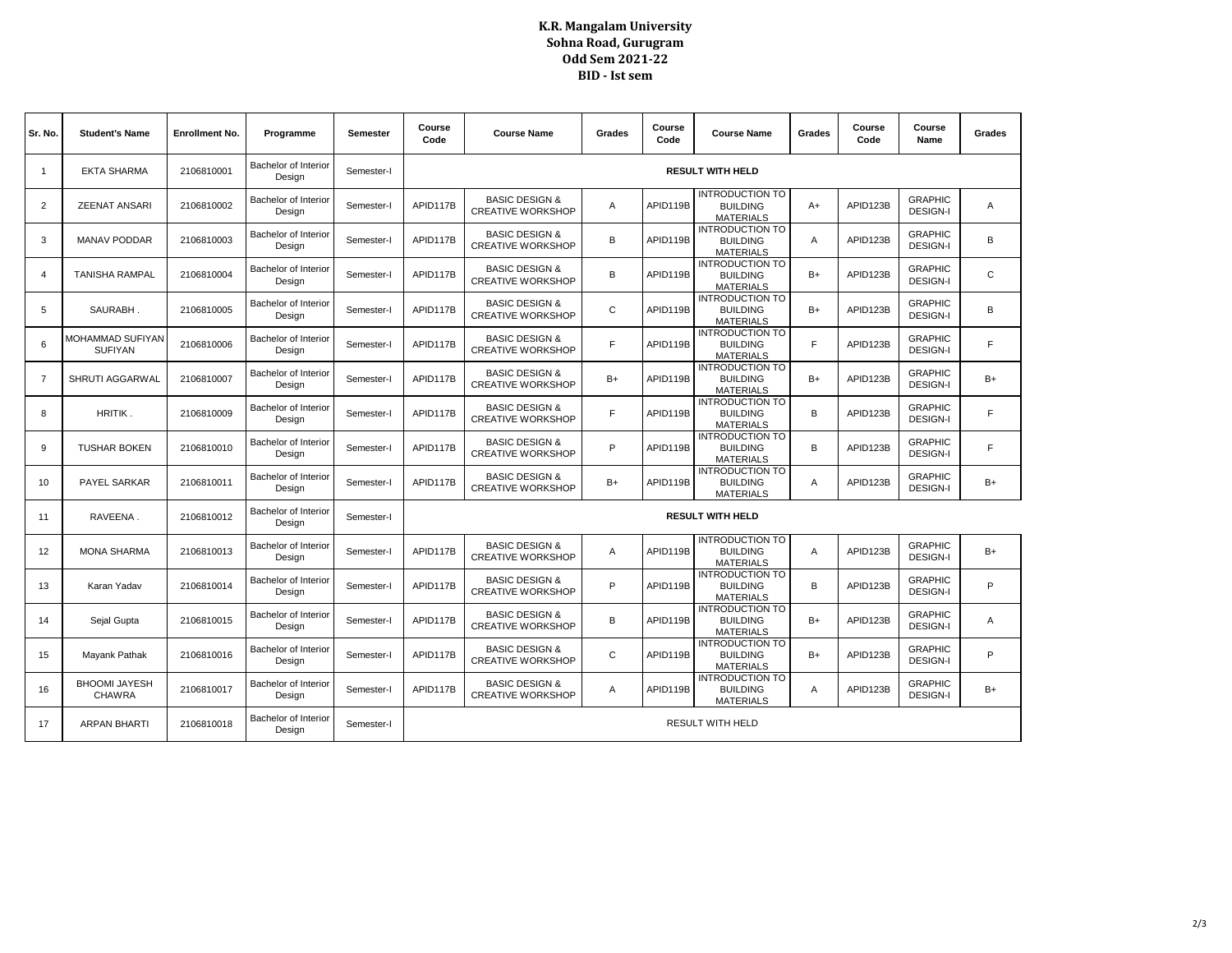## **K.R. Mangalam University Sohna Road, Gurugram Odd Sem 2021-22 BID - Ist sem**

| Sr. No.        | <b>Student's Name</b>              | <b>Enrollment No.</b> | Programme                      | <b>Semester</b> | Course<br>Code          | <b>Course Name</b>                                    | Grades       | Course<br>Code | <b>Course Name</b>                                            | Grades | Course<br>Code | Course<br>Name                    | Grades |
|----------------|------------------------------------|-----------------------|--------------------------------|-----------------|-------------------------|-------------------------------------------------------|--------------|----------------|---------------------------------------------------------------|--------|----------------|-----------------------------------|--------|
| 1              | <b>EKTA SHARMA</b>                 | 2106810001            | Bachelor of Interior<br>Design | Semester-I      | <b>RESULT WITH HELD</b> |                                                       |              |                |                                                               |        |                |                                   |        |
| 2              | <b>ZEENAT ANSARI</b>               | 2106810002            | Bachelor of Interior<br>Design | Semester-I      | APID117B                | <b>BASIC DESIGN &amp;</b><br><b>CREATIVE WORKSHOP</b> | A            | APID119B       | <b>INTRODUCTION TO</b><br><b>BUILDING</b><br><b>MATERIALS</b> | $A+$   | APID123B       | <b>GRAPHIC</b><br><b>DESIGN-I</b> | A      |
| 3              | <b>MANAV PODDAR</b>                | 2106810003            | Bachelor of Interior<br>Design | Semester-I      | APID117B                | <b>BASIC DESIGN &amp;</b><br><b>CREATIVE WORKSHOP</b> | В            | APID119B       | <b>INTRODUCTION TO</b><br><b>BUILDING</b><br><b>MATERIALS</b> | A      | APID123B       | <b>GRAPHIC</b><br><b>DESIGN-I</b> | B      |
| $\overline{4}$ | <b>TANISHA RAMPAL</b>              | 2106810004            | Bachelor of Interior<br>Design | Semester-I      | APID117B                | <b>BASIC DESIGN &amp;</b><br><b>CREATIVE WORKSHOP</b> | B            | APID119B       | <b>INTRODUCTION TO</b><br><b>BUILDING</b><br><b>MATERIALS</b> | $B+$   | APID123B       | <b>GRAPHIC</b><br><b>DESIGN-I</b> | C      |
| 5              | SAURABH.                           | 2106810005            | Bachelor of Interior<br>Design | Semester-I      | APID117B                | <b>BASIC DESIGN &amp;</b><br><b>CREATIVE WORKSHOP</b> | $\mathsf{C}$ | APID119B       | <b>INTRODUCTION TO</b><br><b>BUILDING</b><br><b>MATERIALS</b> | $B+$   | APID123B       | <b>GRAPHIC</b><br><b>DESIGN-I</b> | B      |
| 6              | MOHAMMAD SUFIYAN<br><b>SUFIYAN</b> | 2106810006            | Bachelor of Interior<br>Design | Semester-I      | APID117B                | <b>BASIC DESIGN &amp;</b><br><b>CREATIVE WORKSHOP</b> | F.           | APID119B       | <b>INTRODUCTION TO</b><br><b>BUILDING</b><br><b>MATERIALS</b> | F      | APID123B       | <b>GRAPHIC</b><br><b>DESIGN-I</b> | F      |
| 7              | <b>SHRUTI AGGARWAL</b>             | 2106810007            | Bachelor of Interior<br>Design | Semester-I      | APID117B                | <b>BASIC DESIGN &amp;</b><br><b>CREATIVE WORKSHOP</b> | $B+$         | APID119B       | <b>INTRODUCTION TO</b><br><b>BUILDING</b><br><b>MATERIALS</b> | $B+$   | APID123B       | <b>GRAPHIC</b><br><b>DESIGN-I</b> | $B+$   |
| 8              | HRITIK.                            | 2106810009            | Bachelor of Interior<br>Design | Semester-I      | APID117B                | <b>BASIC DESIGN &amp;</b><br><b>CREATIVE WORKSHOP</b> | F.           | APID119B       | <b>INTRODUCTION TO</b><br><b>BUILDING</b><br><b>MATERIALS</b> | B      | APID123B       | <b>GRAPHIC</b><br><b>DESIGN-I</b> | F      |
| 9              | <b>TUSHAR BOKEN</b>                | 2106810010            | Bachelor of Interior<br>Design | Semester-I      | APID117B                | <b>BASIC DESIGN &amp;</b><br><b>CREATIVE WORKSHOP</b> | P            | APID119B       | <b>INTRODUCTION TO</b><br><b>BUILDING</b><br><b>MATERIALS</b> | B      | APID123B       | <b>GRAPHIC</b><br><b>DESIGN-I</b> | F      |
| 10             | PAYEL SARKAR                       | 2106810011            | Bachelor of Interior<br>Design | Semester-I      | APID117B                | <b>BASIC DESIGN &amp;</b><br><b>CREATIVE WORKSHOP</b> | $B+$         | APID119B       | <b>INTRODUCTION TO</b><br><b>BUILDING</b><br><b>MATERIALS</b> | Α      | APID123B       | <b>GRAPHIC</b><br><b>DESIGN-I</b> | $B+$   |
| 11             | RAVEENA.                           | 2106810012            | Bachelor of Interior<br>Design | Semester-I      | <b>RESULT WITH HELD</b> |                                                       |              |                |                                                               |        |                |                                   |        |
| 12             | <b>MONA SHARMA</b>                 | 2106810013            | Bachelor of Interior<br>Design | Semester-I      | APID117B                | <b>BASIC DESIGN &amp;</b><br><b>CREATIVE WORKSHOP</b> | A            | APID119B       | <b>INTRODUCTION TO</b><br><b>BUILDING</b><br><b>MATERIALS</b> | A      | APID123B       | <b>GRAPHIC</b><br><b>DESIGN-I</b> | $B+$   |
| 13             | Karan Yadav                        | 2106810014            | Bachelor of Interior<br>Design | Semester-I      | APID117B                | <b>BASIC DESIGN &amp;</b><br><b>CREATIVE WORKSHOP</b> | P            | APID119B       | <b>INTRODUCTION TO</b><br><b>BUILDING</b><br><b>MATERIALS</b> | B      | APID123B       | <b>GRAPHIC</b><br><b>DESIGN-I</b> | P      |
| 14             | Sejal Gupta                        | 2106810015            | Bachelor of Interior<br>Design | Semester-I      | APID117B                | <b>BASIC DESIGN &amp;</b><br><b>CREATIVE WORKSHOP</b> | B            | APID119B       | <b>INTRODUCTION TO</b><br><b>BUILDING</b><br><b>MATERIALS</b> | $B+$   | APID123B       | <b>GRAPHIC</b><br><b>DESIGN-I</b> | A      |
| 15             | Mayank Pathak                      | 2106810016            | Bachelor of Interior<br>Design | Semester-I      | APID117B                | <b>BASIC DESIGN &amp;</b><br><b>CREATIVE WORKSHOP</b> | $\mathsf{C}$ | APID119B       | <b>INTRODUCTION TO</b><br><b>BUILDING</b><br><b>MATERIALS</b> | $B+$   | APID123B       | <b>GRAPHIC</b><br><b>DESIGN-I</b> | P      |
| 16             | <b>BHOOMI JAYESH</b><br>CHAWRA     | 2106810017            | Bachelor of Interior<br>Design | Semester-I      | APID117B                | <b>BASIC DESIGN &amp;</b><br><b>CREATIVE WORKSHOP</b> | Α            | APID119B       | <b>INTRODUCTION TO</b><br><b>BUILDING</b><br><b>MATERIALS</b> | Α      | APID123B       | <b>GRAPHIC</b><br><b>DESIGN-I</b> | $B+$   |
| 17             | <b>ARPAN BHARTI</b>                | 2106810018            | Bachelor of Interior<br>Design | Semester-I      | <b>RESULT WITH HELD</b> |                                                       |              |                |                                                               |        |                |                                   |        |